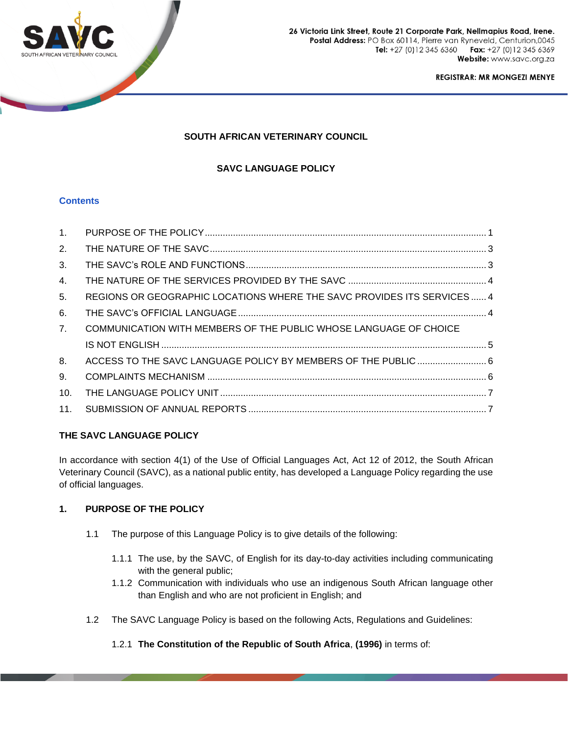

26 Victoria Link Street, Route 21 Corporate Park, Nellmapius Road, Irene. Postal Address: PO Box 60114, Pierre van Ryneveld, Centurion,0045 Tel: +27 (0) 12 345 6360 Fax: +27 (0)12 345 6369 Website: www.savc.org.za

**REGISTRAR: MR MONGEZI MENYE** 

# **SOUTH AFRICAN VETERINARY COUNCIL**

# **SAVC LANGUAGE POLICY**

## **Contents**

| 1 <sub>1</sub> |                                                                        |  |
|----------------|------------------------------------------------------------------------|--|
| 2.             |                                                                        |  |
| 3.             |                                                                        |  |
| 4.             |                                                                        |  |
| 5.             | REGIONS OR GEOGRAPHIC LOCATIONS WHERE THE SAVC PROVIDES ITS SERVICES 4 |  |
| 6.             |                                                                        |  |
| 7.             | COMMUNICATION WITH MEMBERS OF THE PUBLIC WHOSE LANGUAGE OF CHOICE      |  |
|                |                                                                        |  |
| 8.             | ACCESS TO THE SAVC LANGUAGE POLICY BY MEMBERS OF THE PUBLIC  6         |  |
| 9.             |                                                                        |  |
| 10.            |                                                                        |  |
| 11.            |                                                                        |  |

## **THE SAVC LANGUAGE POLICY**

In accordance with section 4(1) of the Use of Official Languages Act, Act 12 of 2012, the South African Veterinary Council (SAVC), as a national public entity, has developed a Language Policy regarding the use of official languages.

# **1. PURPOSE OF THE POLICY**

- 1.1 The purpose of this Language Policy is to give details of the following:
	- 1.1.1 The use, by the SAVC, of English for its day-to-day activities including communicating with the general public;
	- 1.1.2 Communication with individuals who use an indigenous South African language other than English and who are not proficient in English; and
- 1.2 The SAVC Language Policy is based on the following Acts, Regulations and Guidelines:
	- 1.2.1 **The Constitution of the Republic of South Africa**, **(1996)** in terms of: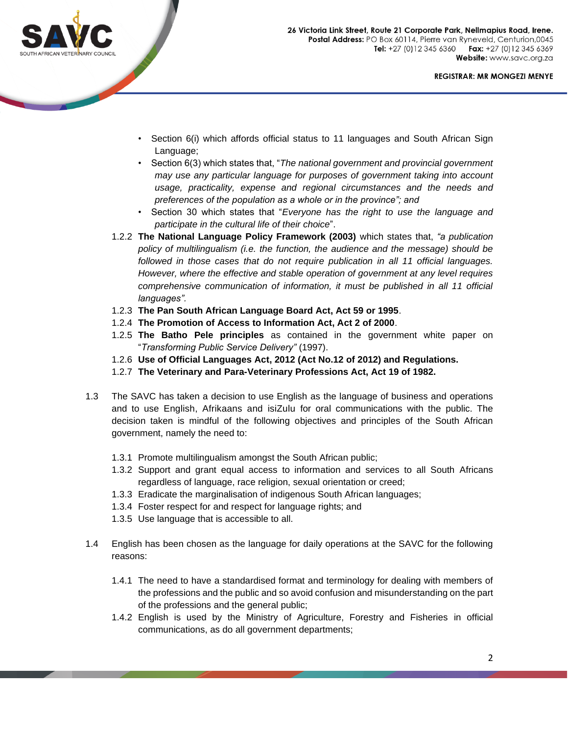

- Section 6(i) which affords official status to 11 languages and South African Sign Language;
- Section 6(3) which states that, "*The national government and provincial government may use any particular language for purposes of government taking into account usage, practicality, expense and regional circumstances and the needs and preferences of the population as a whole or in the province"; and*
- Section 30 which states that "*Everyone has the right to use the language and participate in the cultural life of their choice*".
- 1.2.2 **The National Language Policy Framework (2003)** which states that, *"a publication policy of multilingualism (i.e. the function, the audience and the message) should be followed in those cases that do not require publication in all 11 official languages. However, where the effective and stable operation of government at any level requires comprehensive communication of information, it must be published in all 11 official languages".*
- 1.2.3 **The Pan South African Language Board Act, Act 59 or 1995**.
- 1.2.4 **The Promotion of Access to Information Act, Act 2 of 2000**.
- 1.2.5 **The Batho Pele principles** as contained in the government white paper on "*Transforming Public Service Delivery"* (1997).
- 1.2.6 **Use of Official Languages Act, 2012 (Act No.12 of 2012) and Regulations.**
- 1.2.7 **The Veterinary and Para-Veterinary Professions Act, Act 19 of 1982.**
- 1.3 The SAVC has taken a decision to use English as the language of business and operations and to use English, Afrikaans and isiZulu for oral communications with the public. The decision taken is mindful of the following objectives and principles of the South African government, namely the need to:
	- 1.3.1 Promote multilingualism amongst the South African public;
	- 1.3.2 Support and grant equal access to information and services to all South Africans regardless of language, race religion, sexual orientation or creed;
	- 1.3.3 Eradicate the marginalisation of indigenous South African languages;
	- 1.3.4 Foster respect for and respect for language rights; and
	- 1.3.5 Use language that is accessible to all.
- 1.4 English has been chosen as the language for daily operations at the SAVC for the following reasons:
	- 1.4.1 The need to have a standardised format and terminology for dealing with members of the professions and the public and so avoid confusion and misunderstanding on the part of the professions and the general public;
	- 1.4.2 English is used by the Ministry of Agriculture, Forestry and Fisheries in official communications, as do all government departments;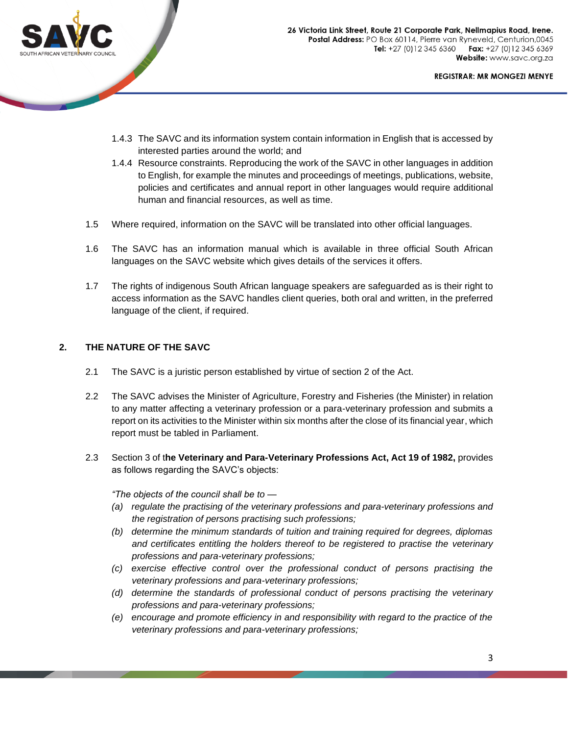

- 1.4.3 The SAVC and its information system contain information in English that is accessed by interested parties around the world; and
- 1.4.4 Resource constraints. Reproducing the work of the SAVC in other languages in addition to English, for example the minutes and proceedings of meetings, publications, website, policies and certificates and annual report in other languages would require additional human and financial resources, as well as time.
- 1.5 Where required, information on the SAVC will be translated into other official languages.
- 1.6 The SAVC has an information manual which is available in three official South African languages on the SAVC website which gives details of the services it offers.
- 1.7 The rights of indigenous South African language speakers are safeguarded as is their right to access information as the SAVC handles client queries, both oral and written, in the preferred language of the client, if required.

## **2. THE NATURE OF THE SAVC**

- 2.1 The SAVC is a juristic person established by virtue of section 2 of the Act.
- 2.2 The SAVC advises the Minister of Agriculture, Forestry and Fisheries (the Minister) in relation to any matter affecting a veterinary profession or a para-veterinary profession and submits a report on its activities to the Minister within six months after the close of its financial year, which report must be tabled in Parliament.
- 2.3 Section 3 of t**he Veterinary and Para-Veterinary Professions Act, Act 19 of 1982,** provides as follows regarding the SAVC's objects:

*"The objects of the council shall be to —*

- *(a) regulate the practising of the veterinary professions and para-veterinary professions and the registration of persons practising such professions;*
- *(b) determine the minimum standards of tuition and training required for degrees, diplomas and certificates entitling the holders thereof to be registered to practise the veterinary professions and para-veterinary professions;*
- *(c) exercise effective control over the professional conduct of persons practising the veterinary professions and para-veterinary professions;*
- *(d) determine the standards of professional conduct of persons practising the veterinary professions and para-veterinary professions;*
- *(e) encourage and promote efficiency in and responsibility with regard to the practice of the veterinary professions and para-veterinary professions;*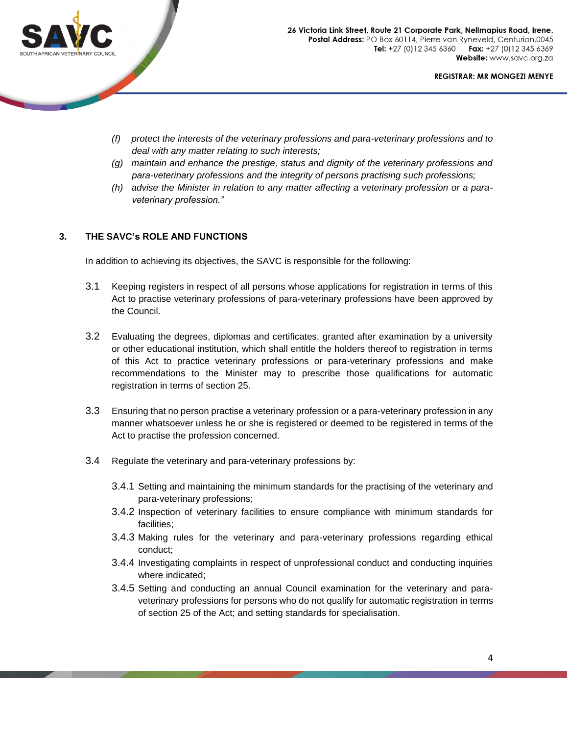

- *(f) protect the interests of the veterinary professions and para-veterinary professions and to deal with any matter relating to such interests;*
- *(g) maintain and enhance the prestige, status and dignity of the veterinary professions and para-veterinary professions and the integrity of persons practising such professions;*
- *(h) advise the Minister in relation to any matter affecting a veterinary profession or a paraveterinary profession."*

## **3. THE SAVC's ROLE AND FUNCTIONS**

In addition to achieving its objectives, the SAVC is responsible for the following:

- 3.1 Keeping registers in respect of all persons whose applications for registration in terms of this Act to practise veterinary professions of para-veterinary professions have been approved by the Council.
- 3.2 Evaluating the degrees, diplomas and certificates, granted after examination by a university or other educational institution, which shall entitle the holders thereof to registration in terms of this Act to practice veterinary professions or para-veterinary professions and make recommendations to the Minister may to prescribe those qualifications for automatic registration in terms of section 25.
- 3.3 Ensuring that no person practise a veterinary profession or a para-veterinary profession in any manner whatsoever unless he or she is registered or deemed to be registered in terms of the Act to practise the profession concerned.
- 3.4 Regulate the veterinary and para-veterinary professions by:
	- 3.4.1 Setting and maintaining the minimum standards for the practising of the veterinary and para-veterinary professions;
	- 3.4.2 Inspection of veterinary facilities to ensure compliance with minimum standards for facilities;
	- 3.4.3 Making rules for the veterinary and para-veterinary professions regarding ethical conduct;
	- 3.4.4 Investigating complaints in respect of unprofessional conduct and conducting inquiries where indicated;
	- 3.4.5 Setting and conducting an annual Council examination for the veterinary and paraveterinary professions for persons who do not qualify for automatic registration in terms of section 25 of the Act; and setting standards for specialisation.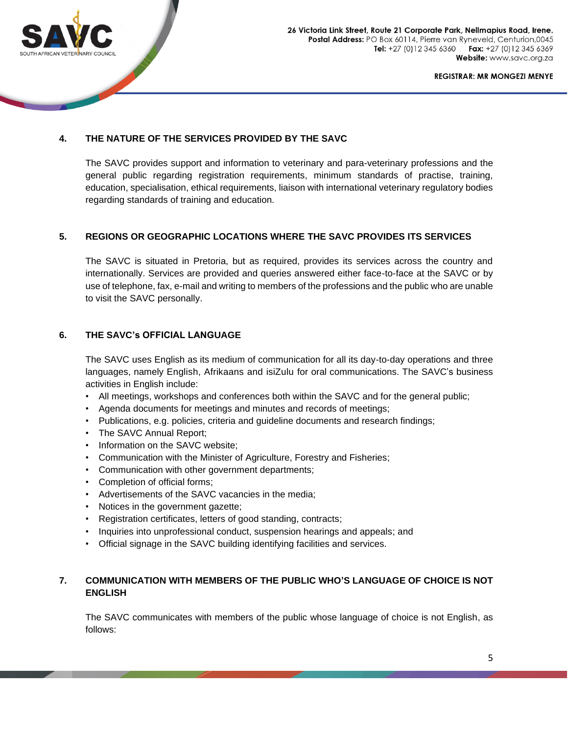

26 Victoria Link Street, Route 21 Corporate Park, Nellmapius Road, Irene. Postal Address: PO Box 60114, Pierre van Ryneveld, Centurion,0045 Tel: +27 (0) 12 345 6360 Fax: +27 (0) 12 345 6369 Website: www.savc.org.za

**REGISTRAR: MR MONGEZI MENYE** 

# **4. THE NATURE OF THE SERVICES PROVIDED BY THE SAVC**

The SAVC provides support and information to veterinary and para-veterinary professions and the general public regarding registration requirements, minimum standards of practise, training, education, specialisation, ethical requirements, liaison with international veterinary regulatory bodies regarding standards of training and education.

## **5. REGIONS OR GEOGRAPHIC LOCATIONS WHERE THE SAVC PROVIDES ITS SERVICES**

The SAVC is situated in Pretoria, but as required, provides its services across the country and internationally. Services are provided and queries answered either face-to-face at the SAVC or by use of telephone, fax, e-mail and writing to members of the professions and the public who are unable to visit the SAVC personally.

## **6. THE SAVC's OFFICIAL LANGUAGE**

The SAVC uses English as its medium of communication for all its day-to-day operations and three languages, namely English, Afrikaans and isiZulu for oral communications. The SAVC's business activities in English include:

- All meetings, workshops and conferences both within the SAVC and for the general public;
- Agenda documents for meetings and minutes and records of meetings;
- Publications, e.g. policies, criteria and guideline documents and research findings;
- The SAVC Annual Report;
- Information on the SAVC website;
- Communication with the Minister of Agriculture, Forestry and Fisheries;
- Communication with other government departments;
- Completion of official forms;
- Advertisements of the SAVC vacancies in the media;
- Notices in the government gazette;
- Registration certificates, letters of good standing, contracts;
- Inquiries into unprofessional conduct, suspension hearings and appeals; and
- Official signage in the SAVC building identifying facilities and services.

## **7. COMMUNICATION WITH MEMBERS OF THE PUBLIC WHO'S LANGUAGE OF CHOICE IS NOT ENGLISH**

The SAVC communicates with members of the public whose language of choice is not English, as follows: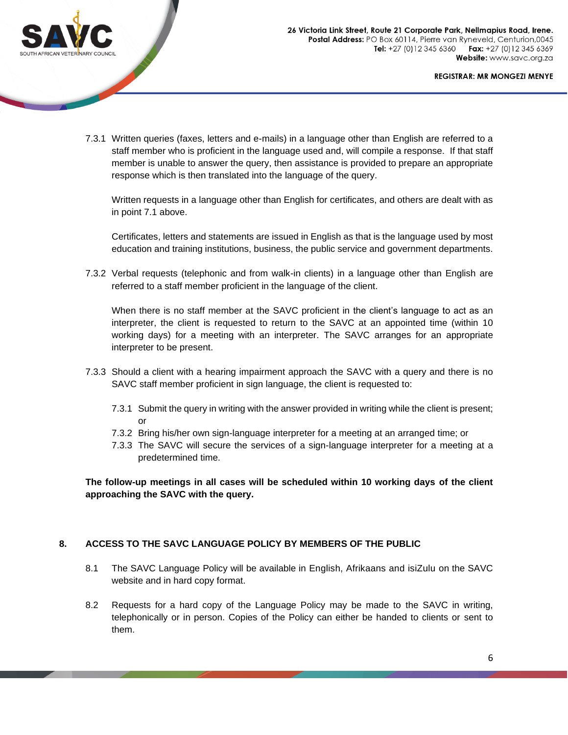

7.3.1 Written queries (faxes, letters and e-mails) in a language other than English are referred to a staff member who is proficient in the language used and, will compile a response. If that staff member is unable to answer the query, then assistance is provided to prepare an appropriate response which is then translated into the language of the query.

Written requests in a language other than English for certificates, and others are dealt with as in point 7.1 above.

Certificates, letters and statements are issued in English as that is the language used by most education and training institutions, business, the public service and government departments.

7.3.2 Verbal requests (telephonic and from walk-in clients) in a language other than English are referred to a staff member proficient in the language of the client.

When there is no staff member at the SAVC proficient in the client's language to act as an interpreter, the client is requested to return to the SAVC at an appointed time (within 10 working days) for a meeting with an interpreter. The SAVC arranges for an appropriate interpreter to be present.

- 7.3.3 Should a client with a hearing impairment approach the SAVC with a query and there is no SAVC staff member proficient in sign language, the client is requested to:
	- 7.3.1 Submit the query in writing with the answer provided in writing while the client is present; or
	- 7.3.2 Bring his/her own sign-language interpreter for a meeting at an arranged time; or
	- 7.3.3 The SAVC will secure the services of a sign-language interpreter for a meeting at a predetermined time.

**The follow-up meetings in all cases will be scheduled within 10 working days of the client approaching the SAVC with the query.**

## **8. ACCESS TO THE SAVC LANGUAGE POLICY BY MEMBERS OF THE PUBLIC**

- 8.1 The SAVC Language Policy will be available in English, Afrikaans and isiZulu on the SAVC website and in hard copy format.
- 8.2 Requests for a hard copy of the Language Policy may be made to the SAVC in writing, telephonically or in person. Copies of the Policy can either be handed to clients or sent to them.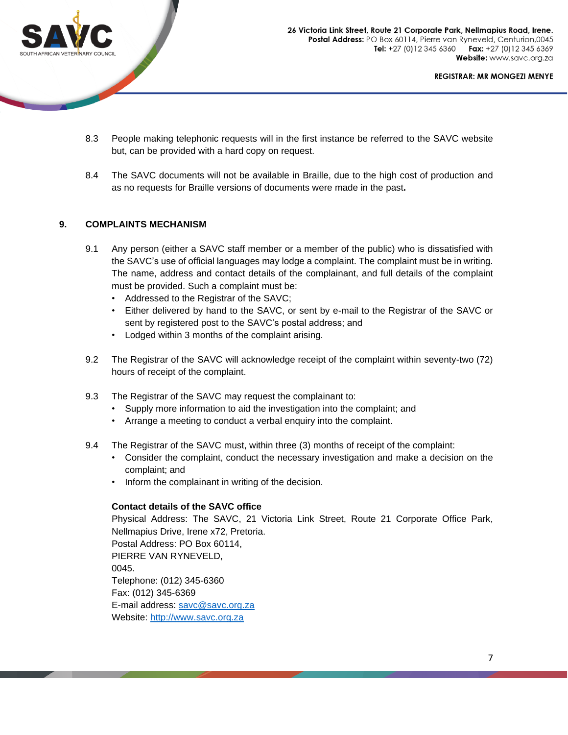

- 8.3 People making telephonic requests will in the first instance be referred to the SAVC website but, can be provided with a hard copy on request.
- 8.4 The SAVC documents will not be available in Braille, due to the high cost of production and as no requests for Braille versions of documents were made in the past**.**

## **9. COMPLAINTS MECHANISM**

- 9.1 Any person (either a SAVC staff member or a member of the public) who is dissatisfied with the SAVC's use of official languages may lodge a complaint. The complaint must be in writing. The name, address and contact details of the complainant, and full details of the complaint must be provided. Such a complaint must be:
	- Addressed to the Registrar of the SAVC;
	- Either delivered by hand to the SAVC, or sent by e-mail to the Registrar of the SAVC or sent by registered post to the SAVC's postal address; and
	- Lodged within 3 months of the complaint arising.
- 9.2 The Registrar of the SAVC will acknowledge receipt of the complaint within seventy-two (72) hours of receipt of the complaint.
- 9.3 The Registrar of the SAVC may request the complainant to:
	- Supply more information to aid the investigation into the complaint; and
	- Arrange a meeting to conduct a verbal enquiry into the complaint.
- 9.4 The Registrar of the SAVC must, within three (3) months of receipt of the complaint:
	- Consider the complaint, conduct the necessary investigation and make a decision on the complaint; and
	- Inform the complainant in writing of the decision.

#### **Contact details of the SAVC office**

Physical Address: The SAVC, 21 Victoria Link Street, Route 21 Corporate Office Park, Nellmapius Drive, Irene x72, Pretoria. Postal Address: PO Box 60114, PIERRE VAN RYNEVELD, 0045. Telephone: (012) 345-6360 Fax: (012) 345-6369 E-mail address: savc@savc.org.za Website: [http://www.savc.org.za](http://www.saqa.org.za/)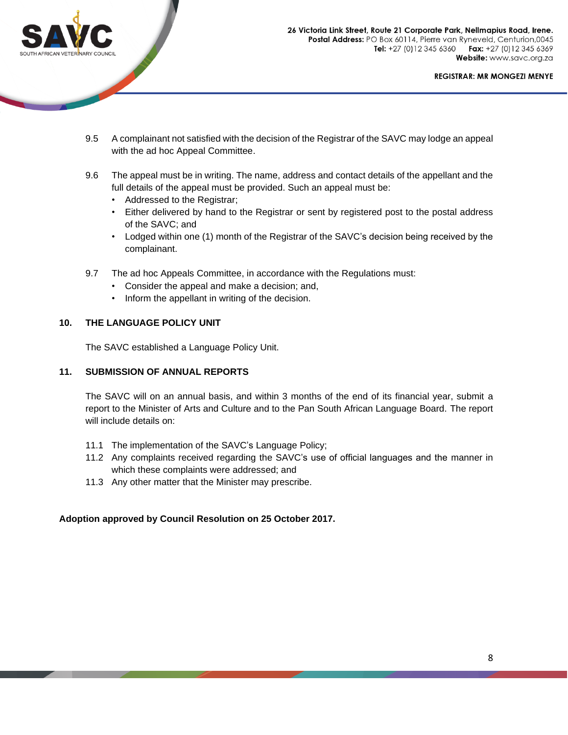

- 9.5 A complainant not satisfied with the decision of the Registrar of the SAVC may lodge an appeal with the ad hoc Appeal Committee.
- 9.6 The appeal must be in writing. The name, address and contact details of the appellant and the full details of the appeal must be provided. Such an appeal must be:
	- Addressed to the Registrar;
	- Either delivered by hand to the Registrar or sent by registered post to the postal address of the SAVC; and
	- Lodged within one (1) month of the Registrar of the SAVC's decision being received by the complainant.
- 9.7 The ad hoc Appeals Committee, in accordance with the Regulations must:
	- Consider the appeal and make a decision; and,
	- Inform the appellant in writing of the decision.

#### **10. THE LANGUAGE POLICY UNIT**

The SAVC established a Language Policy Unit.

#### **11. SUBMISSION OF ANNUAL REPORTS**

The SAVC will on an annual basis, and within 3 months of the end of its financial year, submit a report to the Minister of Arts and Culture and to the Pan South African Language Board. The report will include details on:

- 11.1 The implementation of the SAVC's Language Policy;
- 11.2 Any complaints received regarding the SAVC's use of official languages and the manner in which these complaints were addressed; and
- 11.3 Any other matter that the Minister may prescribe.

## **Adoption approved by Council Resolution on 25 October 2017.**